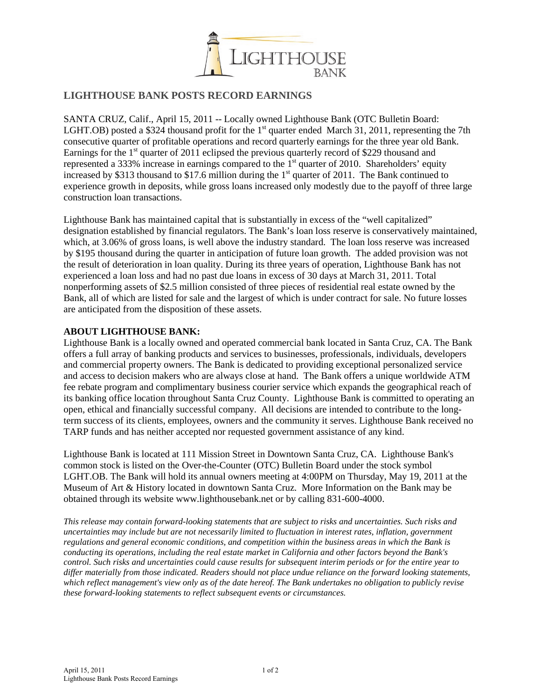

## **LIGHTHOUSE BANK POSTS RECORD EARNINGS**

SANTA CRUZ, Calif., April 15, 2011 -- Locally owned Lighthouse Bank (OTC Bulletin Board: [LGHT.](http://studio-5.financialcontent.com/prnews?Page=Quote&Ticker=LGHT)OB) posted a \$324 thousand profit for the 1<sup>st</sup> quarter ended March 31, 2011, representing the 7th consecutive quarter of profitable operations and record quarterly earnings for the three year old Bank. Earnings for the  $1<sup>st</sup>$  quarter of 2011 eclipsed the previous quarterly record of \$229 thousand and represented a 333% increase in earnings compared to the  $1<sup>st</sup>$  quarter of 2010. Shareholders' equity increased by \$313 thousand to \$17.6 million during the 1<sup>st</sup> quarter of 2011. The Bank continued to experience growth in deposits, while gross loans increased only modestly due to the payoff of three large construction loan transactions.

Lighthouse Bank has maintained capital that is substantially in excess of the "well capitalized" designation established by financial regulators. The Bank's loan loss reserve is conservatively maintained, which, at 3.06% of gross loans, is well above the industry standard. The loan loss reserve was increased by \$195 thousand during the quarter in anticipation of future loan growth. The added provision was not the result of deterioration in loan quality. During its three years of operation, Lighthouse Bank has not experienced a loan loss and had no past due loans in excess of 30 days at March 31, 2011. Total nonperforming assets of \$2.5 million consisted of three pieces of residential real estate owned by the Bank, all of which are listed for sale and the largest of which is under contract for sale. No future losses are anticipated from the disposition of these assets.

## **ABOUT LIGHTHOUSE BANK:**

Lighthouse Bank is a locally owned and operated commercial bank located in Santa Cruz, CA. The Bank offers a full array of banking products and services to businesses, professionals, individuals, developers and commercial property owners. The Bank is dedicated to providing exceptional personalized service and access to decision makers who are always close at hand. The Bank offers a unique worldwide ATM fee rebate program and complimentary business courier service which expands the geographical reach of its banking office location throughout Santa Cruz County. Lighthouse Bank is committed to operating an open, ethical and financially successful company. All decisions are intended to contribute to the longterm success of its clients, employees, owners and the community it serves. Lighthouse Bank received no TARP funds and has neither accepted nor requested government assistance of any kind.

Lighthouse Bank is located at 111 Mission Street in Downtown Santa Cruz, CA. Lighthouse Bank's common stock is listed on the Over-the-Counter (OTC) Bulletin Board under the stock symbol LGHT.OB. The Bank will hold its annual owners meeting at 4:00PM on Thursday, May 19, 2011 at the Museum of Art & History located in downtown Santa Cruz. More Information on the Bank may be obtained through its website [www.lighthousebank.net](http://www.lighthousebank.net/) or by calling 831-600-4000.

*This release may contain forward-looking statements that are subject to risks and uncertainties. Such risks and uncertainties may include but are not necessarily limited to fluctuation in interest rates, inflation, government regulations and general economic conditions, and competition within the business areas in which the Bank is conducting its operations, including the real estate market in California and other factors beyond the Bank's control. Such risks and uncertainties could cause results for subsequent interim periods or for the entire year to differ materially from those indicated. Readers should not place undue reliance on the forward looking statements, which reflect management's view only as of the date hereof. The Bank undertakes no obligation to publicly revise these forward-looking statements to reflect subsequent events or circumstances.*